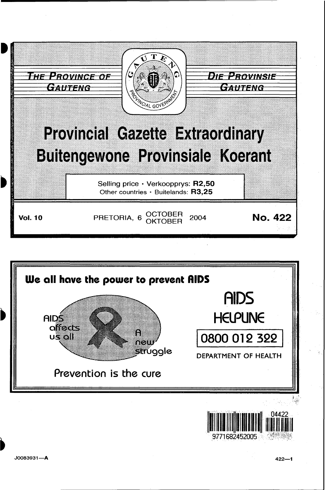